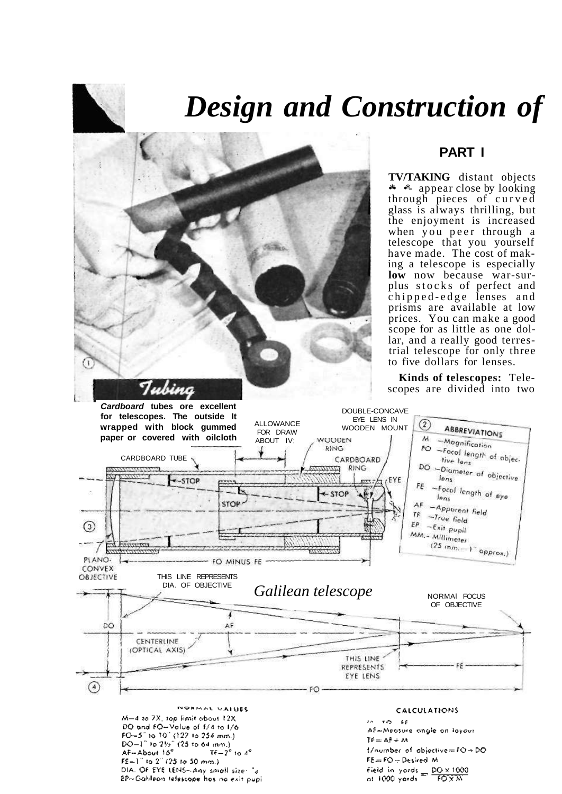# *Design and Construction of*



DIA. OF EYE LENS--Any small size: "a

EP-Gablean telescope has no exit pupi

## **PART I**

**TV/TAKING** distant objects • **\*** appear close by looking through pieces of curve d glass is always thrilling, but the enjoyment is increased when you peer through a telescope that you yourself have made. The cost of making a telescope is especially **low** now because war-surplus stocks of perfect and chipped-edge lenses and prisms are available at low prices. You can make a good scope for as little as one dollar, and a really good terrestrial telescope for only three to five dollars for lenses.

**Kinds of telescopes:** Telescopes are divided into two

Field in yords  $=$   $\frac{DO \times 1000}{FOX \times N}$ 

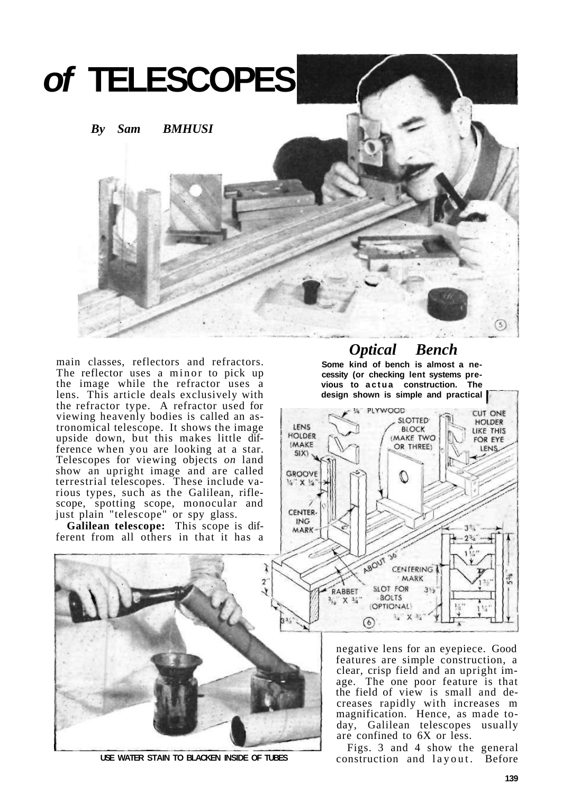

main classes, reflectors and refractors. The reflector uses a minor to pick up the image while the refractor uses a lens. This article deals exclusively with the refractor type. A refractor used for viewing heavenly bodies is called an astronomical telescope. It shows the image upside down, but this makes little difference when you are looking at a star. Telescopes for viewing objects *on* land show an upright image and are called terrestrial telescopes. These include various types, such as the Galilean, riflescope, spotting scope, monocular and just plain "telescope" or spy glass.

**Galilean telescope:** This scope is dif-

# *Optical Bench*

**Some kind of bench is almost a necessity (or checking lent systems pre**vious to actua construction. The **design shown is simple and practical** 



negative lens for an eyepiece. Good features are simple construction, a clear, crisp field and an upright image. The one poor feature is that the field of view is small and decreases rapidly with increases m magnification. Hence, as made today, Galilean telescopes usually are confined to 6X or less.

Figs. 3 and 4 show the general construction and layout. Before





**USE WATER STAIN TO BLACKEN INSIDE OF TUBES**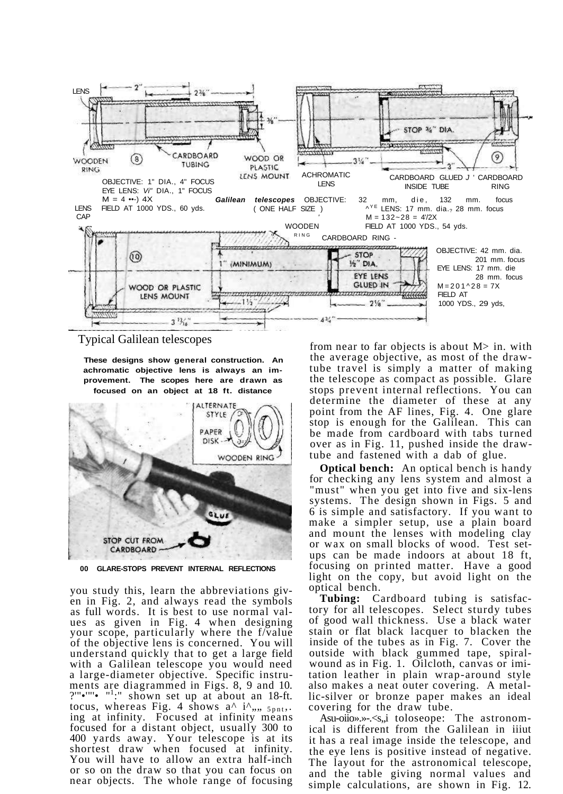

#### Typical Galilean telescopes

**These designs show general construction. An achromatic objective lens is always an improvement. The scopes here are drawn as focused on an object at 18 ft. distance** 



**00 GLARE-STOPS PREVENT INTERNAL REFLECTIONS** 

you study this, learn the abbreviations given in Fig. 2, and always read the symbols as full words. It is best to use normal values as given in Fig. 4 when designing your scope, particularly where the f/value of the objective lens is concerned. You will understand quickly that to get a large field with a Galilean telescope you would need a large-diameter objective. Specific instruments are diagrammed in Figs. 8, 9 and 10. ?'" $\cdot$ "' $\cdot$ " $\cdot$ "':" shown set up at about an 18-ft. tocus, whereas Fig. 4 shows  $a^{\wedge}$  i<sup> $\wedge$ </sup>,,,,  $_{5pnt}$ ,. ing at infinity. Focused at infinity means focused for a distant object, usually 300 to 400 yards away. Your telescope is at its shortest draw when focused at infinity. You will have to allow an extra half-inch or so on the draw so that you can focus on near objects. The whole range of focusing

from near to far objects is about M> in. with the average objective, as most of the drawtube travel is simply a matter of making the telescope as compact as possible. Glare stops prevent internal reflections. You can determine the diameter of these at any point from the AF lines, Fig. 4. One glare stop is enough for the Galilean. This can be made from cardboard with tabs turned over as in Fig. 11, pushed inside the drawtube and fastened with a dab of glue.

**Optical bench:** An optical bench is handy for checking any lens system and almost a "must" when you get into five and six-lens systems. The design shown in Figs. 5 and 6 is simple and satisfactory. If you want to make a simpler setup, use a plain board and mount the lenses with modeling clay or wax on small blocks of wood. Test setups can be made indoors at about 18 ft, focusing on printed matter. Have a good light on the copy, but avoid light on the optical bench.

**Tubing:** Cardboard tubing is satisfactory for all telescopes. Select sturdy tubes of good wall thickness. Use a black water stain or flat black lacquer to blacken the inside of the tubes as in Fig. 7. Cover the outside with black gummed tape, spiralwound as in Fig. 1. Oilcloth, canvas or imitation leather in plain wrap-around style also makes a neat outer covering. A metallic-silver or bronze paper makes an ideal covering for the draw tube.

Asu-oiio».»-.<s, i toloseope: The astronomical is different from the Galilean in iiiut it has a real image inside the telescope, and the eye lens is positive instead of negative. The layout for the astronomical telescope, and the table giving normal values and simple calculations, are shown in Fig. 12.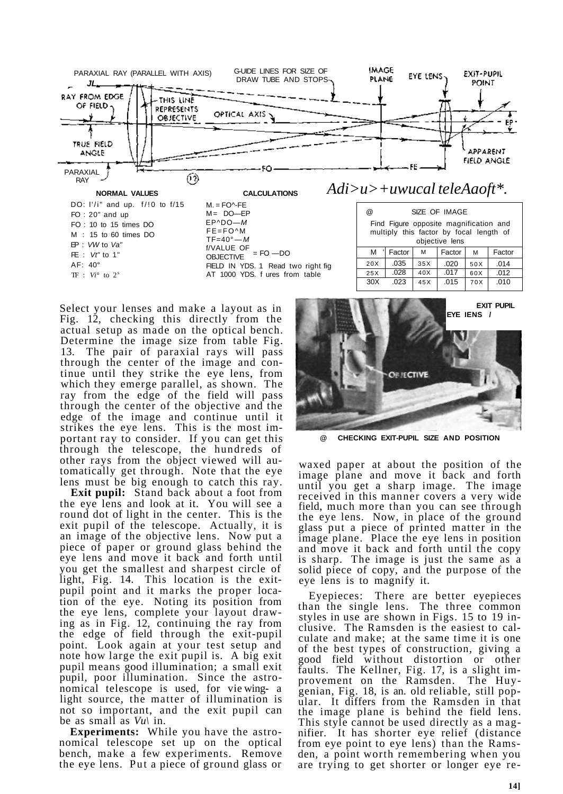

AT 1000 YDS. f ures from table

Select your lenses and make a layout as in Fig. 12, checking this directly from the actual setup as made on the optical bench. Determine the image size from table Fig. 13. The pair of paraxial rays will pass through the center of the image and continue until they strike the eye lens, from which they emerge parallel, as shown. The ray from the edge of the field will pass through the center of the objective and the edge of the image and continue until it strikes the eye lens. This is the most important ray to consider. If you can get this through the telescope, the hundreds of other rays from the object viewed will automatically get through. Note that the eye lens must be big enough to catch this ray.

TF : *Vi°* to 2<sup>s</sup>

**Exit pupil:** Stand back about a foot from the eye lens and look at it. You will see a round dot of light in the center. This is the exit pupil of the telescope. Actually, it is an image of the objective lens. Now put a piece of paper or ground glass behind the eye lens and move it back and forth until you get the smallest and sharpest circle of light, Fig. 14. This location is the exitpupil point and it marks the proper location of the eye. Noting its position from the eye lens, complete your layout drawing as in Fig. 12, continuing the ray from the edge of field through the exit-pupil point. Look again at your test setup and note how large the exit pupil is. A big exit pupil means good illumination; a small exit pupil, poor illumination. Since the astronomical telescope is used, for vie wing- a light source, the matter of illumination is not so important, and the exit pupil can be as small as *Vu\* in.

**Experiments:** While you have the astronomical telescope set up on the optical bench, make a few experiments. Remove the eye lens. Put a piece of ground glass or

| Find Figure opposite magnification and<br>multiply this factor by focal length of<br>objective lens |        |     |        |     |        |  |
|-----------------------------------------------------------------------------------------------------|--------|-----|--------|-----|--------|--|
| м                                                                                                   | Factor | M   | Factor | M   | Factor |  |
| 20X                                                                                                 | .035   | 35X | .020   | 50X | .014   |  |
| 25X                                                                                                 | .028   | 40X | .017   | 60X | .012   |  |
| 30X                                                                                                 | .023   | 45X | .015   | 70X | .010   |  |
|                                                                                                     |        |     |        |     |        |  |



**@ CHECKING EXIT-PUPIL SIZE AND POSITION** 

waxed paper at about the position of the image plane and move it back and forth until you get a sharp image. The image received in this manner covers a very wide field, much more than you can see through the eye lens. Now, in place of the ground glass put a piece of printed matter in the image plane. Place the eye lens in position and move it back and forth until the copy is sharp. The image is just the same as a solid piece of copy, and the purpose of the eye lens is to magnify it.

Eyepieces: There are better eyepieces than the single lens. The three common styles in use are shown in Figs. 15 to 19 inclusive. The Ramsden is the easiest to calculate and make; at the same time it is one of the best types of construction, giving a good field without distortion or other faults. The Kellner, Fig. 17, is a slight improvement on the Ramsden. The Huygenian, Fig. 18, is an. old reliable, still popular. It differs from the Ramsden in that the image plane is behind the field lens. This style cannot be used directly as a magnifier. It has shorter eye relief (distance from eye point to eye lens) than the Ramsden, a point worth remembering when you are trying to get shorter or longer eye re-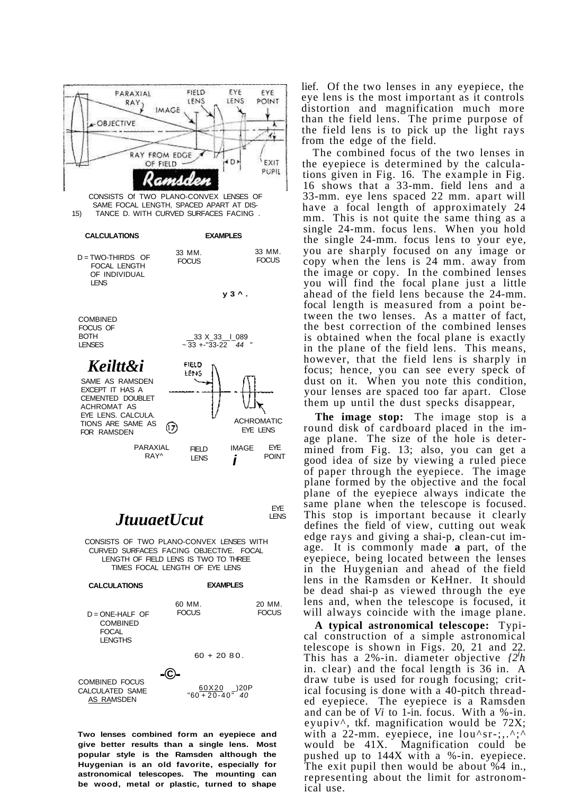

COMBINED FOCUS CALCULATED SAME AS RAMSDEN

 $\frac{60X20}{60+20-40}$  -20P

Two lenses combined form an eyepiece and give better results than a single lens. Most popular style is the Ramsden although the Huygenian is an old favorite, especially for astronomical telescopes. The mounting can be wood, metal or plastic, turned to shape

lief. Of the two lenses in any evepiece, the eye lens is the most important as it controls distortion and magnification much more than the field lens. The prime purpose of the field lens is to pick up the light rays from the edge of the field.

The combined focus of the two lenses in the eyepiece is determined by the calculations given in Fig. 16. The example in Fig. 16 shows that a 33-mm. field lens and a 33-mm. eye lens spaced 22 mm. apart will have a focal length of approximately 24 mm. This is not quite the same thing as a single 24-mm. focus lens. When you hold the single 24-mm. focus lens to your eye, you are sharply focused on any image or copy when the lens is 24 mm, away from the image or copy. In the combined lenses you will find the focal plane just a little ahead of the field lens because the 24-mm. focal length is measured from a point between the two lenses. As a matter of fact, the best correction of the combined lenses is obtained when the focal plane is exactly in the plane of the field lens. This means, however, that the field lens is sharply in focus; hence, you can see every speck of dust on it. When you note this condition, your lenses are spaced too far apart. Close them up until the dust specks disappear,

The image stop: The image stop is a round disk of cardboard placed in the image plane. The size of the hole is determined from Fig. 13; also, you can get a good idea of size by viewing a ruled piece of paper through the eyepiece. The image plane formed by the objective and the focal plane of the eyepiece always indicate the same plane when the telescope is focused. This stop is important because it clearly defines the field of view, cutting out weak edge rays and giving a shai-p, clean-cut image. It is commonly made a part, of the evepiece, being located between the lenses in the Huygenian and ahead of the field lens in the Ramsden or KeHner. It should be dead shai-p as viewed through the eye lens and, when the telescope is focused, it will always coincide with the image plane.

A typical astronomical telescope: Typical construction of a simple astronomical telescope is shown in Figs. 20, 21 and 22. This has a 2%-in. diameter objective  $\ell^{2h}$ in. clear) and the focal length is 36 in. A draw tube is used for rough focusing; critical focusing is done with a 40-pitch threaded eyepiece. The eyepiece is a Ramsden and can be of Vi to 1-in. focus. With a %-in. eyupiv^, tkf. magnification would be 72X; with a 22-mm. eyepiece, ine  $lou \, \text{sr-}; \ldots, \, \text{r+}$ would be 41X. Magnification could be pushed up to 144X with a %-in. eyepiece.<br>The exit pupil then would be about %4 in., representing about the limit for astronomical use.